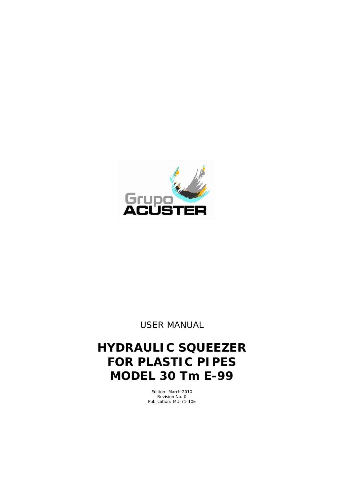

*USER MANUAL*

# **HYDRAULIC SQUEEZER FOR PLASTIC PIPES MODEL 30 Tm E-99**

Edition: March 2010 Revision No. 0 Publication: MU-71-10E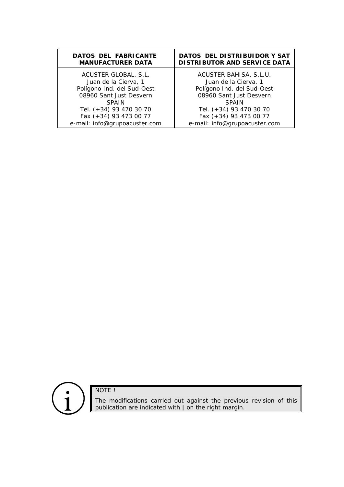| <b>DATOS DEL FABRICANTE</b>   | DATOS DEL DISTRIBUIDOR Y SAT        |
|-------------------------------|-------------------------------------|
| <b>MANUFACTURER DATA</b>      | <b>DISTRIBUTOR AND SERVICE DATA</b> |
| ACUSTER GLOBAL, S.L.          | ACUSTER BAHISA, S.L.U.              |
| Juan de la Cierva, 1          | Juan de la Cierva, 1                |
| Polígono Ind. del Sud-Oest    | Polígono Ind. del Sud-Oest          |
| 08960 Sant Just Desvern       | 08960 Sant Just Desvern             |
| <b>SPAIN</b>                  | <b>SPAIN</b>                        |
| Tel. (+34) 93 470 30 70       | Tel. (+34) 93 470 30 70             |
| Fax (+34) 93 473 00 77        | Fax (+34) 93 473 00 77              |
| e-mail: info@grupoacuster.com | e-mail: info@grupoacuster.com       |



NOTE !

The modifications carried out against the previous revision of this publication are indicated with  $\parallel$  on the right margin.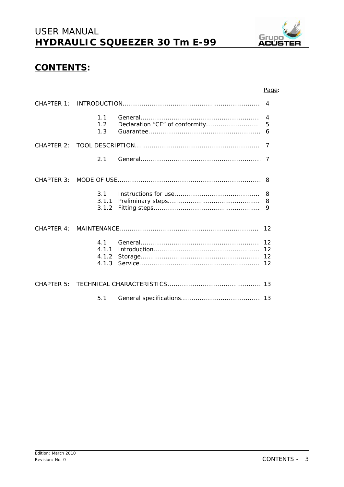

### **CONTENTS:**

#### Page:

| 4                                |  |                      |
|----------------------------------|--|----------------------|
| 1.1<br>1.2<br>1.3                |  | $\overline{4}$<br>6  |
|                                  |  | 7                    |
| 2.1                              |  |                      |
|                                  |  |                      |
| 3 <sub>1</sub><br>3.1.1<br>3.1.2 |  | 8<br>9               |
|                                  |  | 12                   |
| 4 1<br>4.1.1<br>4.1.2            |  | 12<br>12<br>12<br>12 |
|                                  |  |                      |
| 5.1                              |  |                      |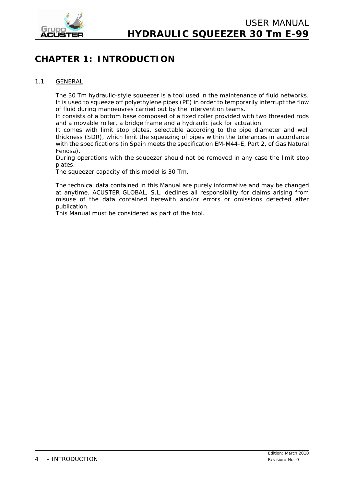

## **CHAPTER 1: INTRODUCTION**

#### 1.1 GENERAL

The 30 Tm hydraulic-style squeezer is a tool used in the maintenance of fluid networks. It is used to squeeze off polyethylene pipes (PE) in order to temporarily interrupt the flow of fluid during manoeuvres carried out by the intervention teams.

It consists of a bottom base composed of a fixed roller provided with two threaded rods and a movable roller, a bridge frame and a hydraulic jack for actuation.

It comes with limit stop plates, selectable according to the pipe diameter and wall thickness (SDR), which limit the squeezing of pipes within the tolerances in accordance with the specifications (in Spain meets the specification EM-M44-E, Part 2, of Gas Natural Fenosa).

During operations with the squeezer should not be removed in any case the limit stop plates.

The squeezer capacity of this model is 30 Tm.

The technical data contained in this *Manual* are purely informative and may be changed at anytime. ACUSTER GLOBAL, S.L. declines all responsibility for claims arising from misuse of the data contained herewith and/or errors or omissions detected after publication.

This *Manual* must be considered as part of the tool.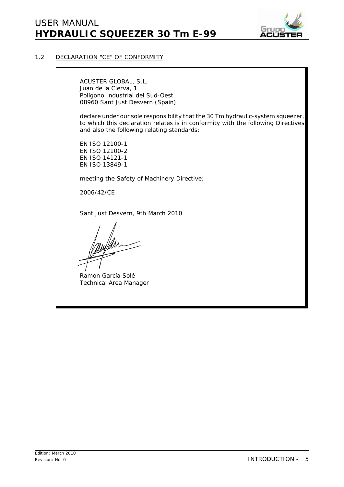

#### 1.2 DECLARATION "CE" OF CONFORMITY

ACUSTER GLOBAL, S.L. Juan de la Cierva, 1 Polígono Industrial del Sud-Oest 08960 Sant Just Desvern (Spain)

declare under our sole responsibility that the 30 Tm hydraulic-system squeezer, to which this declaration relates is in conformity with the following Directives and also the following relating standards:

EN ISO 12100-1 EN ISO 12100-2 EN ISO 14121-1 EN ISO 13849-1

meeting the Safety of Machinery Directive:

2006/42/CE

Sant Just Desvern, 9th March 2010

Ramon García Solé Technical Area Manager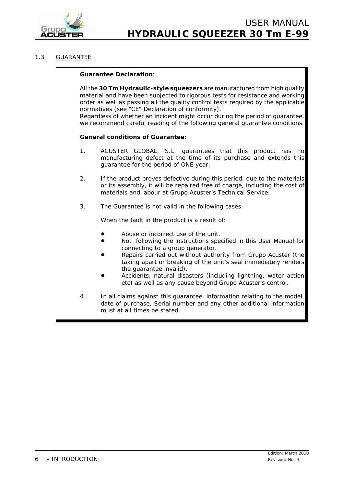

#### 1.3 GUARANTEE

#### **Guarantee Declaration**: All the **30 Tm Hydraulic-style squeezers** are manufactured from high quality material and have been subjected to rigorous tests for resistance and working order as well as passing all the quality control tests required by the applicable normatives (see "CE" Declaration of conformity). Regardless of whether an incident might occur during the period of guarantee, we recommend careful reading of the following general guarantee conditions. **General conditions of Guarantee:** 1. ACUSTER GLOBAL, S.L. guarantees that this product has no manufacturing defect at the time of its purchase and extends this guarantee for the period of ONE year. 2. If the product proves defective during this period, due to the materials or its assembly, it will be repaired free of charge, including the cost of materials and labour at Grupo Acuster's Technical Service. 3. The Guarantee is not valid in the following cases: When the fault in the product is a result of: Abuse or incorrect use of the unit. ! Not following the instructions specified in this *User Manual* for connecting to a group generator. Repairs carried out without authority from Grupo Acuster (the taking apart or breaking of the unit's seal immediately renders the guarantee invalid). Accidents, natural disasters (including lightning, water action etc) as well as any cause beyond Grupo Acuster's control. 4. In all claims against this guarantee, information relating to the model, date of purchase, Serial number and any other additional information

must at all times be stated.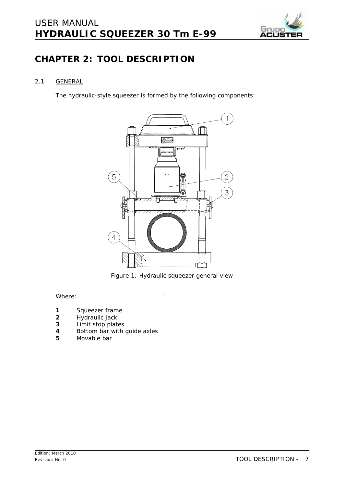## *USER MANUAL* **HYDRAULIC SQUEEZER 30 Tm E-99**



### **CHAPTER 2: TOOL DESCRIPTION**

#### 2.1 GENERAL

The hydraulic-style squeezer is formed by the following components:



*Figure 1: Hydraulic squeezer general view*

Where:

- **1** Squeezer frame
- **2** Hydraulic jack
- **3** Limit stop plates
- **4** Bottom bar with guide axles<br>**5** Movable bar
- **5** Movable bar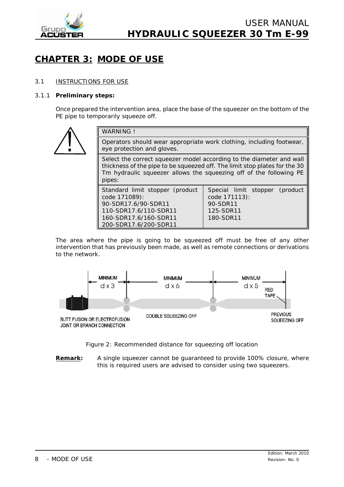

## **CHAPTER 3: MODE OF USE**

#### 3.1 INSTRUCTIONS FOR USE

#### 3.1.1 **Preliminary steps:**

Once prepared the intervention area, place the base of the squeezer on the bottom of the PE pipe to temporarily squeeze off.



| <b>WARNING!</b>                                                                                                                                                                                                                    |                                                                                       |  |  |  |
|------------------------------------------------------------------------------------------------------------------------------------------------------------------------------------------------------------------------------------|---------------------------------------------------------------------------------------|--|--|--|
| Operators should wear appropriate work clothing, including footwear,<br>eye protection and gloves.                                                                                                                                 |                                                                                       |  |  |  |
| Select the correct squeezer model according to the diameter and wall<br>thickness of the pipe to be squeezed off. The limit stop plates for the 30<br>Tm hydraulic squeezer allows the squeezing off of the following PE<br>pipes: |                                                                                       |  |  |  |
| Standard limit stopper (product<br>code 171089):<br>90-SDR17.6/90-SDR11<br>110-SDR17.6/110-SDR11<br>160-SDR17.6/160-SDR11<br>200-SDR17.6/200-SDR11                                                                                 | Special limit stopper (product<br>code 171113):<br>90-SDR11<br>125-SDR11<br>180-SDR11 |  |  |  |

The area where the pipe is going to be squeezed off must be free of any other intervention that has previously been made, as well as remote connections or derivations to the network.



*Figure 2: Recommended distance for squeezing off location*

**Remark:** A single squeezer cannot be guaranteed to provide 100% closure, where this is required users are advised to consider using two squeezers.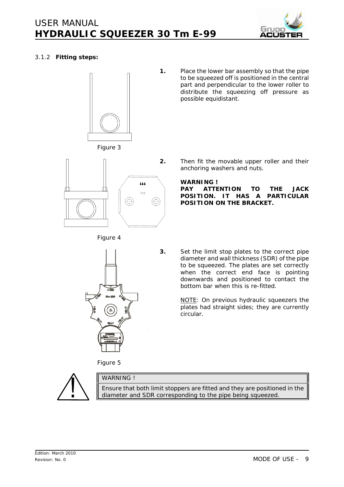

#### 3.1.2 **Fitting steps:**



**1.** Place the lower bar assembly so that the pipe to be squeezed off is positioned in the central part and perpendicular to the lower roller to distribute the squeezing off pressure as possible equidistant.







**2.** Then fit the movable upper roller and their anchoring washers and nuts.

#### **WARNING !**

**PAY ATTENTION TO THE JACK POSITION. IT HAS A PARTICULAR POSITION ON THE BRACKET.**



**3.** Set the limit stop plates to the correct pipe diameter and wall thickness (SDR) of the pipe to be squeezed. The plates are set correctly when the correct end face is pointing downwards and positioned to contact the bottom bar when this is re-fitted.

> *NOTE: On previous hydraulic squeezers the plates had straight sides; they are currently circular.*

*Figure 5*



WARNING !

Ensure that both limit stoppers are fitted and they are positioned in the diameter and SDR corresponding to the pipe being squeezed.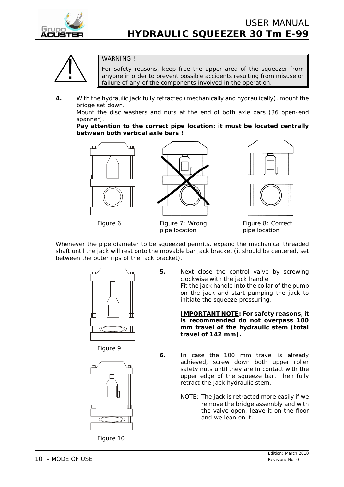



#### WARNING !

For safety reasons, keep free the upper area of the squeezer from anyone in order to prevent possible accidents resulting from misuse or failure of any of the components involved in the operation.

**4.** With the hydraulic jack fully retracted (mechanically and hydraulically), mount the bridge set down.

Mount the disc washers and nuts at the end of both axle bars (36 open-end spanner).

**Pay attention to the correct pipe location: it must be located centrally between both vertical axle bars !**





*pipe location pipe location*



Figure 6 **Figure 7: Wrong Figure 8: Correct** 

Whenever the pipe diameter to be squeezed permits, expand the mechanical threaded shaft until the jack will rest onto the movable bar jack bracket (it should be centered, set between the outer rips of the jack bracket).



*Figure 9*



*Figure 10*

**5.** Next close the control valve by screwing clockwise with the jack handle. Fit the jack handle into the collar of the pump on the jack and start pumping the jack to initiate the squeeze pressuring.

> **IMPORTANT NOTE: For safety reasons, it is recommended do not overpass 100 mm travel of the hydraulic stem (total travel of 142 mm).**

- **6.** In case the 100 mm travel is already achieved, screw down both upper roller safety nuts until they are in contact with the upper edge of the squeeze bar. Then fully retract the jack hydraulic stem.
	- NOTE: The jack is retracted more easily if we remove the bridge assembly and with the valve open, leave it on the floor and we lean on it.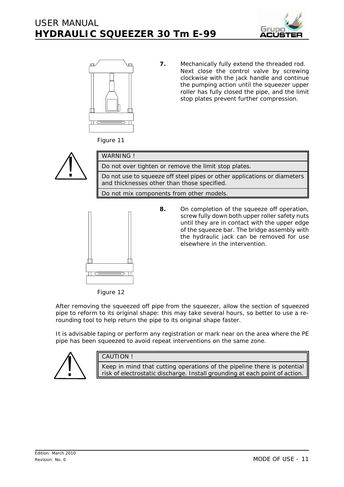



**7.** Mechanically fully extend the threaded rod. Next close the control valve by screwing clockwise with the jack handle and continue the pumping action until the squeezer upper roller has fully closed the pipe, and the limit stop plates prevent further compression.

*Figure 11*



| WARNING!                                                                                                                |
|-------------------------------------------------------------------------------------------------------------------------|
| Do not over tighten or remove the limit stop plates.                                                                    |
| Do not use to squeeze off steel pipes or other applications or diameters<br>and thicknesses other than those specified. |
| Do not mix components from other models.                                                                                |
|                                                                                                                         |

**8.** On completion of the squeeze off operation, screw fully down both upper roller safety nuts until they are in contact with the upper edge of the squeeze bar. The bridge assembly with the hydraulic jack can be removed for use elsewhere in the intervention.

*Figure 12*

After removing the squeezed off pipe from the squeezer, allow the section of squeezed pipe to reform to its original shape: this may take several hours, so better to use a rerounding tool to help return the pipe to its original shape faster.

It is advisable taping or perform any registration or mark near on the area where the PE pipe has been squeezed to avoid repeat interventions on the same zone.



#### CAUTION !

Keep in mind that cutting operations of the pipeline there is potential risk of electrostatic discharge. Install grounding at each point of action.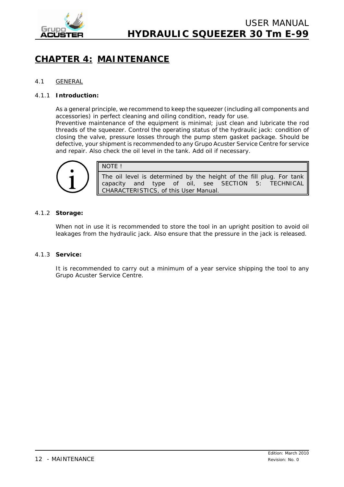

## **CHAPTER 4: MAINTENANCE**

#### 4.1 GENERAL

#### 4.1.1 **Introduction:**

As a general principle, we recommend to keep the squeezer (including all components and accessories) in perfect cleaning and oiling condition, ready for use.

Preventive maintenance of the equipment is minimal; just clean and lubricate the rod threads of the squeezer. Control the operating status of the hydraulic jack: condition of closing the valve, pressure losses through the pump stem gasket package. Should be defective, your shipment is recommended to any Grupo Acuster Service Centre for service and repair. Also check the oil level in the tank. Add oil if necessary.



NOTE !

The oil level is determined by the height of the fill plug. For tank capacity and type of oil, see SECTION 5: TECHNICAL CHARACTERISTICS, of this *User Manual*.

#### 4.1.2 **Storage:**

When not in use it is recommended to store the tool in an upright position to avoid oil leakages from the hydraulic jack. Also ensure that the pressure in the jack is released.

#### 4.1.3 **Service:**

It is recommended to carry out a minimum of a year service shipping the tool to any Grupo Acuster Service Centre.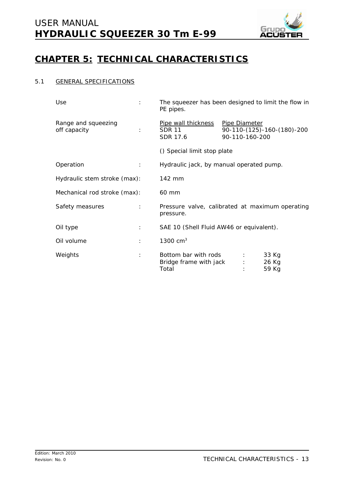

## **CHAPTER 5: TECHNICAL CHARACTERISTICS**

#### 5.1 GENERAL SPECIFICATIONS

| Use<br>÷                            | The squeezer has been designed to limit the flow in<br>PE pipes. |               |                            |                            |  |
|-------------------------------------|------------------------------------------------------------------|---------------|----------------------------|----------------------------|--|
| Range and squeezing<br>off capacity | Pipe wall thickness<br><b>SDR 11</b><br>SDR 17.6                 | Pipe Diameter | 90-110-160-200             | 90-110-(125)-160-(180)-200 |  |
|                                     | () Special limit stop plate                                      |               |                            |                            |  |
| Operation<br>÷                      | Hydraulic jack, by manual operated pump.                         |               |                            |                            |  |
| Hydraulic stem stroke (max):        | 142 mm                                                           |               |                            |                            |  |
| Mechanical rod stroke (max):        | 60 mm                                                            |               |                            |                            |  |
| Safety measures<br>÷                | Pressure valve, calibrated at maximum operating<br>pressure.     |               |                            |                            |  |
| Oil type<br>÷                       | SAE 10 (Shell Fluid AW46 or equivalent).                         |               |                            |                            |  |
| Oil volume<br>÷                     | 1300 $cm3$                                                       |               |                            |                            |  |
| Weights<br>÷                        | Bottom bar with rods<br>Bridge frame with jack<br>Total          |               | $\mathcal{L}$<br>$\sim$ 1. | 33 Kg<br>26 Kg<br>59 Kg    |  |